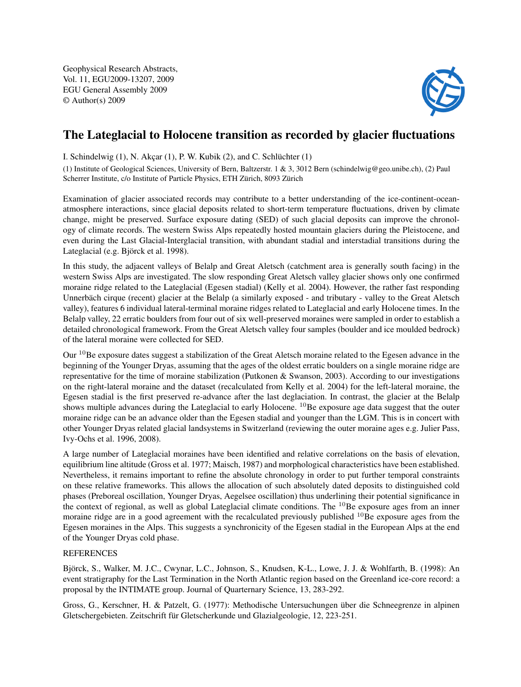Geophysical Research Abstracts, Vol. 11, EGU2009-13207, 2009 EGU General Assembly 2009 © Author(s) 2009



## The Lateglacial to Holocene transition as recorded by glacier fluctuations

I. Schindelwig (1), N. Akçar (1), P. W. Kubik (2), and C. Schlüchter (1)

(1) Institute of Geological Sciences, University of Bern, Baltzerstr. 1 & 3, 3012 Bern (schindelwig@geo.unibe.ch), (2) Paul Scherrer Institute, c/o Institute of Particle Physics, ETH Zürich, 8093 Zürich

Examination of glacier associated records may contribute to a better understanding of the ice-continent-oceanatmosphere interactions, since glacial deposits related to short-term temperature fluctuations, driven by climate change, might be preserved. Surface exposure dating (SED) of such glacial deposits can improve the chronology of climate records. The western Swiss Alps repeatedly hosted mountain glaciers during the Pleistocene, and even during the Last Glacial-Interglacial transition, with abundant stadial and interstadial transitions during the Lateglacial (e.g. Björck et al. 1998).

In this study, the adjacent valleys of Belalp and Great Aletsch (catchment area is generally south facing) in the western Swiss Alps are investigated. The slow responding Great Aletsch valley glacier shows only one confirmed moraine ridge related to the Lateglacial (Egesen stadial) (Kelly et al. 2004). However, the rather fast responding Unnerbäch cirque (recent) glacier at the Belalp (a similarly exposed - and tributary - valley to the Great Aletsch valley), features 6 individual lateral-terminal moraine ridges related to Lateglacial and early Holocene times. In the Belalp valley, 22 erratic boulders from four out of six well-preserved moraines were sampled in order to establish a detailed chronological framework. From the Great Aletsch valley four samples (boulder and ice moulded bedrock) of the lateral moraine were collected for SED.

Our  $10$ Be exposure dates suggest a stabilization of the Great Aletsch moraine related to the Egesen advance in the beginning of the Younger Dryas, assuming that the ages of the oldest erratic boulders on a single moraine ridge are representative for the time of moraine stabilization (Putkonen & Swanson, 2003). According to our investigations on the right-lateral moraine and the dataset (recalculated from Kelly et al. 2004) for the left-lateral moraine, the Egesen stadial is the first preserved re-advance after the last deglaciation. In contrast, the glacier at the Belalp shows multiple advances during the Lateglacial to early Holocene. <sup>10</sup>Be exposure age data suggest that the outer moraine ridge can be an advance older than the Egesen stadial and younger than the LGM. This is in concert with other Younger Dryas related glacial landsystems in Switzerland (reviewing the outer moraine ages e.g. Julier Pass, Ivy-Ochs et al. 1996, 2008).

A large number of Lateglacial moraines have been identified and relative correlations on the basis of elevation, equilibrium line altitude (Gross et al. 1977; Maisch, 1987) and morphological characteristics have been established. Nevertheless, it remains important to refine the absolute chronology in order to put further temporal constraints on these relative frameworks. This allows the allocation of such absolutely dated deposits to distinguished cold phases (Preboreal oscillation, Younger Dryas, Aegelsee oscillation) thus underlining their potential significance in the context of regional, as well as global Lateglacial climate conditions. The  $^{10}$ Be exposure ages from an inner moraine ridge are in a good agreement with the recalculated previously published <sup>10</sup>Be exposure ages from the Egesen moraines in the Alps. This suggests a synchronicity of the Egesen stadial in the European Alps at the end of the Younger Dryas cold phase.

## REFERENCES

Björck, S., Walker, M. J.C., Cwynar, L.C., Johnson, S., Knudsen, K-L., Lowe, J. J. & Wohlfarth, B. (1998): An event stratigraphy for the Last Termination in the North Atlantic region based on the Greenland ice-core record: a proposal by the INTIMATE group. Journal of Quarternary Science, 13, 283-292.

Gross, G., Kerschner, H. & Patzelt, G. (1977): Methodische Untersuchungen über die Schneegrenze in alpinen Gletschergebieten. Zeitschrift für Gletscherkunde und Glazialgeologie, 12, 223-251.